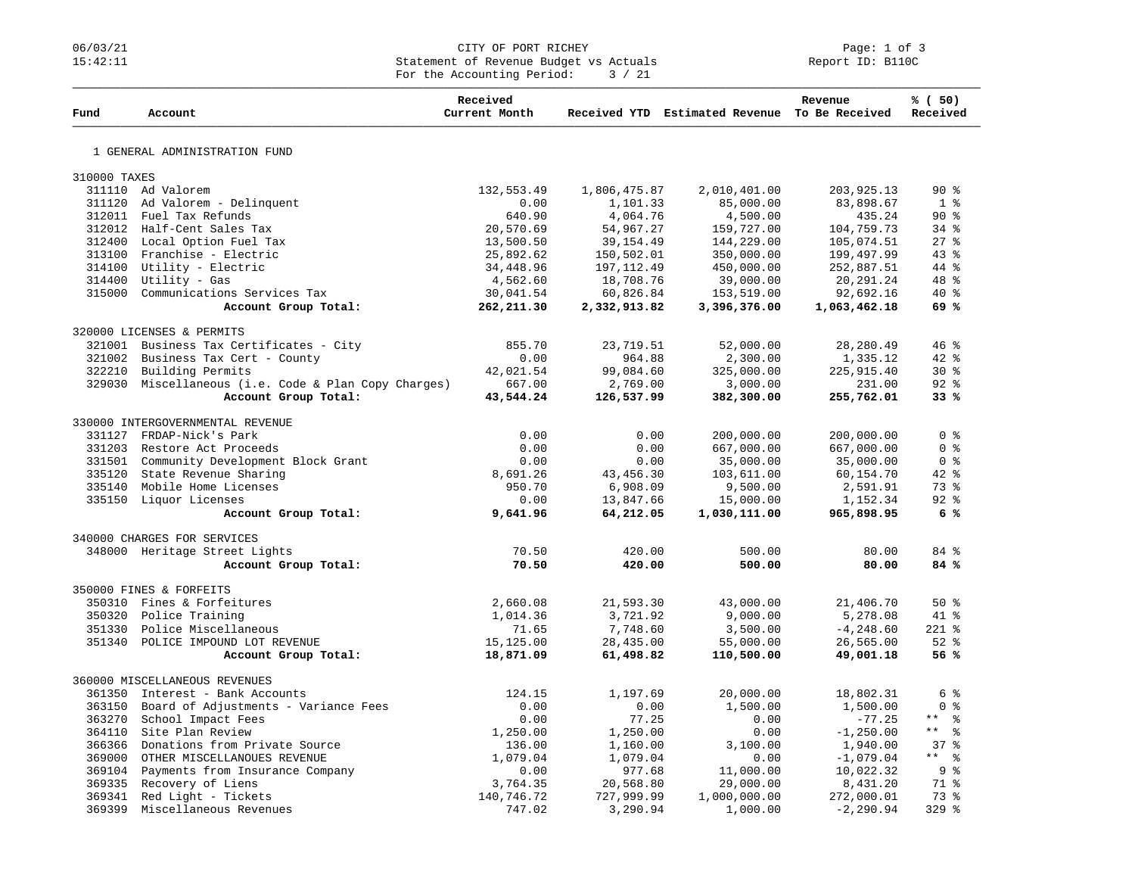## 06/03/21 CITY OF PORT RICHEY Page: 1 of 3 15:42:11 Statement of Revenue Budget vs Actuals Report ID: B110C For the Accounting Period:  $3 / 21$

|              |                                                       | Received       |              |                                               | Revenue      | % ( 50 )                         |
|--------------|-------------------------------------------------------|----------------|--------------|-----------------------------------------------|--------------|----------------------------------|
| Fund         | Account                                               | Current Month  |              | Received YTD Estimated Revenue To Be Received |              | Received                         |
|              |                                                       |                |              |                                               |              |                                  |
|              | 1 GENERAL ADMINISTRATION FUND                         |                |              |                                               |              |                                  |
| 310000 TAXES |                                                       |                |              |                                               |              |                                  |
|              | 311110 Ad Valorem                                     | 132,553.49     | 1,806,475.87 | 2,010,401.00                                  | 203, 925. 13 | $90*$                            |
|              | 311120 Ad Valorem - Delinquent                        | 0.00           | 1,101.33     | 85,000.00                                     | 83,898.67    | 1 <sup>8</sup>                   |
|              | 312011 Fuel Tax Refunds                               | 640.90         | 4,064.76     | 4,500.00                                      | 435.24       | 90%                              |
|              | 312012 Half-Cent Sales Tax                            | 20,570.69      | 54,967.27    | 159,727.00                                    | 104,759.73   | $34$ $%$                         |
|              | 312400 Local Option Fuel Tax                          | 13,500.50      | 39, 154.49   | 144,229.00                                    | 105,074.51   | $27$ $\frac{6}{5}$               |
|              | 313100 Franchise - Electric                           | 25,892.62      | 150,502.01   | 350,000.00                                    | 199,497.99   | 43%                              |
|              | 314100 Utility - Electric                             | 34,448.96      | 197, 112.49  | 450,000.00                                    | 252,887.51   | 44 %                             |
|              | 314400 Utility - Gas                                  | 4,562.60       | 18,708.76    | 39,000.00                                     | 20, 291. 24  | $48$ $%$                         |
|              | 315000 Communications Services Tax                    | 30,041.54      | 60,826.84    | 153,519.00                                    | 92,692.16    | $40*$                            |
|              | Account Group Total:                                  | 262, 211.30    | 2,332,913.82 | 3,396,376.00                                  | 1,063,462.18 | 69 %                             |
|              | 320000 LICENSES & PERMITS                             |                |              |                                               |              |                                  |
| 321001       | Business Tax Certificates - City                      | 855.70         | 23,719.51    | 52,000.00                                     | 28, 280.49   | 46 %                             |
| 321002       | Business Tax Cert - County                            | 0.00           | 964.88       | 2,300.00                                      | 1,335.12     | $42*$                            |
| 322210       | Building Permits                                      | 42,021.54      | 99,084.60    | 325,000.00                                    | 225, 915.40  | $30*$                            |
|              | 329030 Miscellaneous (i.e. Code & Plan Copy Charges)  | 667.00         | 2,769.00     | 3,000.00                                      | 231.00       | $92$ %                           |
|              | Account Group Total:                                  | 43,544.24      | 126,537.99   | 382,300.00                                    | 255,762.01   | 33%                              |
|              |                                                       |                |              |                                               |              |                                  |
|              | 330000 INTERGOVERNMENTAL REVENUE                      |                |              |                                               |              |                                  |
|              | 331127 FRDAP-Nick's Park                              | 0.00           | 0.00         | 200,000.00                                    | 200,000.00   | 0 <sup>8</sup><br>0 <sup>8</sup> |
|              | 331203 Restore Act Proceeds                           | 0.00           | 0.00         | 667,000.00                                    | 667,000.00   |                                  |
|              | 331501 Community Development Block Grant              | 0.00           | 0.00         | 35,000.00                                     | 35,000.00    | 0 <sup>8</sup>                   |
|              | 335120 State Revenue Sharing                          | 8,691.26       | 43,456.30    | 103,611.00                                    | 60,154.70    | $42$ %<br>73%                    |
|              | 335140 Mobile Home Licenses<br>335150 Liquor Licenses | 950.70<br>0.00 | 6,908.09     | 9,500.00                                      | 2,591.91     | 92%                              |
|              |                                                       |                | 13,847.66    | 15,000.00                                     | 1,152.34     | 6%                               |
|              | Account Group Total:                                  | 9,641.96       | 64,212.05    | 1,030,111.00                                  | 965,898.95   |                                  |
|              | 340000 CHARGES FOR SERVICES                           |                |              |                                               |              |                                  |
|              | 348000 Heritage Street Lights                         | 70.50          | 420.00       | 500.00                                        | 80.00        | 84 %                             |
|              | Account Group Total:                                  | 70.50          | 420.00       | 500.00                                        | 80.00        | 84 %                             |
|              | 350000 FINES & FORFEITS                               |                |              |                                               |              |                                  |
| 350310       | Fines & Forfeitures                                   | 2,660.08       | 21,593.30    | 43,000.00                                     | 21,406.70    | $50*$                            |
|              | 350320 Police Training                                | 1,014.36       | 3,721.92     | 9,000.00                                      | 5,278.08     | 41 %                             |
|              | 351330 Police Miscellaneous                           | 71.65          | 7,748.60     | 3,500.00                                      | $-4, 248.60$ | $221$ %                          |
|              | 351340 POLICE IMPOUND LOT REVENUE                     | 15,125.00      | 28,435.00    | 55,000.00                                     | 26,565.00    | $52$ $%$                         |
|              | Account Group Total:                                  | 18,871.09      | 61,498.82    | 110,500.00                                    | 49,001.18    | 56%                              |
|              | 360000 MISCELLANEOUS REVENUES                         |                |              |                                               |              |                                  |
|              | 361350 Interest - Bank Accounts                       | 124.15         | 1,197.69     | 20,000.00                                     | 18,802.31    | $6\degree$                       |
|              | 363150 Board of Adjustments - Variance Fees           | 0.00           | 0.00         | 1,500.00                                      | 1,500.00     | 0 <sup>8</sup>                   |
| 363270       | School Impact Fees                                    | 0.00           | 77.25        | 0.00                                          | $-77.25$     | $\star$ $\star$<br>း<br>စီ       |
|              | 364110 Site Plan Review                               | 1,250.00       | 1,250.00     | 0.00                                          | $-1, 250.00$ | $\star$ $\star$<br>$\approx$     |
|              | 366366 Donations from Private Source                  | 136.00         | 1,160.00     | 3,100.00                                      | 1,940.00     | 37%                              |
|              | 369000 OTHER MISCELLANOUES REVENUE                    | 1,079.04       | 1,079.04     | 0.00                                          | $-1,079.04$  | $***$ 8                          |
|              | 369104 Payments from Insurance Company                | 0.00           | 977.68       | 11,000.00                                     | 10,022.32    | 9%                               |
|              | 369335 Recovery of Liens                              | 3,764.35       | 20,568.80    | 29,000.00                                     | 8,431.20     | 71 %                             |
|              | 369341 Red Light - Tickets                            | 140,746.72     | 727,999.99   | 1,000,000.00                                  | 272,000.01   | 73 %                             |
| 369399       | Miscellaneous Revenues                                | 747.02         | 3,290.94     | 1,000.00                                      | $-2, 290.94$ | $329$ $%$                        |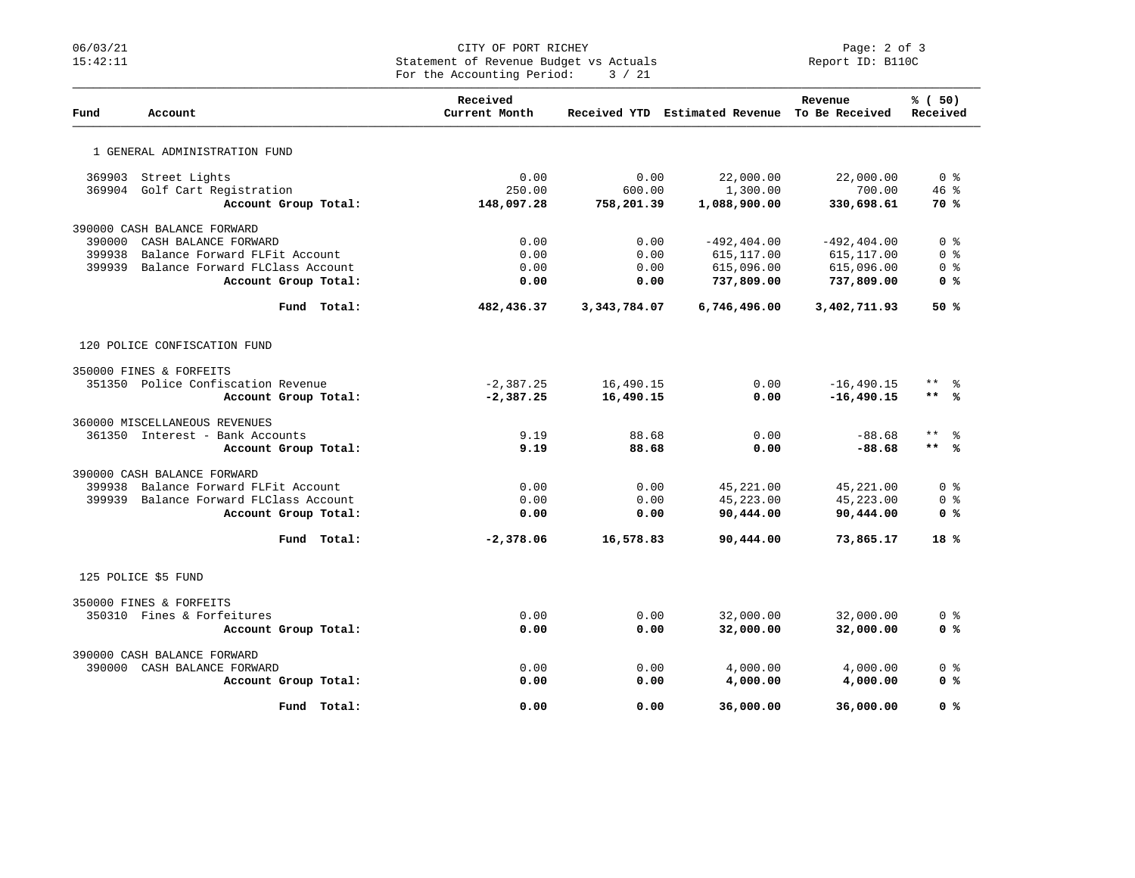## 06/03/21 CITY OF PORT RICHEY PORT RICHEY PAGE: 2 of 3<br>15:42:11 Statement of Revenue Budget vs Actuals Report ID: B110C 15:42:11 Statement of Revenue Budget vs Actuals Report ID: B110C For the Accounting Period:  $3 / 21$

| Fund   | Account                            | Received<br>Current Month |              | Received YTD Estimated Revenue To Be Received | Revenue        | % (50)<br>Received                 |
|--------|------------------------------------|---------------------------|--------------|-----------------------------------------------|----------------|------------------------------------|
|        | 1 GENERAL ADMINISTRATION FUND      |                           |              |                                               |                |                                    |
| 369903 | Street Lights                      | 0.00                      | 0.00         | 22,000.00                                     | 22,000.00      | 0 <sup>8</sup>                     |
| 369904 | Golf Cart Registration             | 250.00                    | 600.00       | 1,300.00                                      | 700.00         | 46%                                |
|        | Account Group Total:               | 148,097.28                | 758,201.39   | 1,088,900.00                                  | 330,698.61     | <b>70 %</b>                        |
|        | 390000 CASH BALANCE FORWARD        |                           |              |                                               |                |                                    |
| 390000 | CASH BALANCE FORWARD               | 0.00                      | 0.00         | $-492, 404.00$                                | $-492, 404.00$ | 0 <sup>8</sup>                     |
| 399938 | Balance Forward FLFit Account      | 0.00                      | 0.00         | 615, 117.00                                   | 615, 117.00    | 0 <sup>8</sup>                     |
| 399939 | Balance Forward FLClass Account    | 0.00                      | 0.00         | 615,096.00                                    | 615,096.00     | 0 <sub>8</sub>                     |
|        | Account Group Total:               | 0.00                      | 0.00         | 737,809.00                                    | 737,809.00     | 0 %                                |
|        | Fund Total:                        | 482,436.37                | 3,343,784.07 | 6,746,496.00                                  | 3,402,711.93   | 50%                                |
|        | 120 POLICE CONFISCATION FUND       |                           |              |                                               |                |                                    |
|        | 350000 FINES & FORFEITS            |                           |              |                                               |                |                                    |
|        | 351350 Police Confiscation Revenue | $-2,387.25$               | 16,490.15    | 0.00                                          | $-16, 490.15$  | $***$<br>ႜ                         |
|        | Account Group Total:               | $-2,387.25$               | 16,490.15    | 0.00                                          | $-16,490.15$   | $***$<br>ഀ                         |
|        | 360000 MISCELLANEOUS REVENUES      |                           |              |                                               |                |                                    |
|        | 361350 Interest - Bank Accounts    | 9.19                      | 88.68        | 0.00                                          | $-88.68$       | $\star\star$<br>ႜ                  |
|        | Account Group Total:               | 9.19                      | 88.68        | 0.00                                          | $-88.68$       | $***$<br>%≽                        |
|        | 390000 CASH BALANCE FORWARD        |                           |              |                                               |                |                                    |
| 399938 | Balance Forward FLFit Account      | 0.00                      | 0.00         | 45,221.00                                     | 45,221.00      | $0 \text{ }$ $\text{ }$ $\text{ }$ |
| 399939 | Balance Forward FLClass Account    | 0.00                      | 0.00         | 45,223.00                                     | 45,223.00      | 0 <sub>8</sub>                     |
|        | Account Group Total:               | 0.00                      | 0.00         | 90,444.00                                     | 90,444.00      | 0 <sup>8</sup>                     |
|        | Fund Total:                        | $-2,378.06$               | 16,578.83    | 90,444.00                                     | 73,865.17      | 18 <sup>8</sup>                    |
|        | 125 POLICE \$5 FUND                |                           |              |                                               |                |                                    |
|        | 350000 FINES & FORFEITS            |                           |              |                                               |                |                                    |
|        | 350310 Fines & Forfeitures         | 0.00                      | 0.00         | 32,000.00                                     | 32,000.00      | 0 %                                |
|        | Account Group Total:               | 0.00                      | 0.00         | 32,000.00                                     | 32,000.00      | 0 <sup>8</sup>                     |
|        | 390000 CASH BALANCE FORWARD        |                           |              |                                               |                |                                    |
| 390000 | CASH BALANCE FORWARD               | 0.00                      | 0.00         | 4,000.00                                      | 4,000.00       | 0 <sup>8</sup>                     |
|        | Account Group Total:               | 0.00                      | 0.00         | 4,000.00                                      | 4,000.00       | 0 %                                |
|        | Fund Total:                        | 0.00                      | 0.00         | 36,000.00                                     | 36,000.00      | 0 %                                |